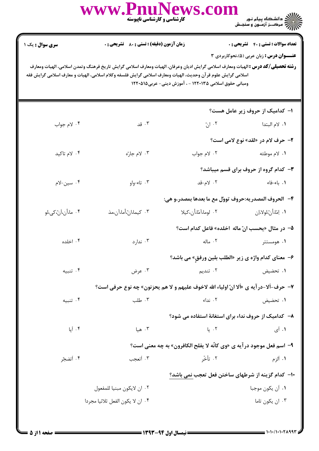|                        | کارشناسی و کارشناسی ناپیوسته                                                                                                                                                                                                                                                                                  |                                                        | ان دانشگاه پیام نور<br>این مرکــز آزمــون و سنجـش                                              |
|------------------------|---------------------------------------------------------------------------------------------------------------------------------------------------------------------------------------------------------------------------------------------------------------------------------------------------------------|--------------------------------------------------------|------------------------------------------------------------------------------------------------|
| <b>سری سوال :</b> یک ۱ | <b>زمان آزمون (دقیقه) : تستی : 80 ٪ تشریحی : 0</b><br><b>رشته تحصیلی/کد درس :</b> الهیات ومعارف اسلامی گرایش ادیان وعرفان، الهیات ومعارف اسلامی گرایش تاریخ فرهنگ وتمدن اسلامی، الهیات ومعارف<br>اسلامی گرایش علوم قرآن وحدیث، الهیات ومعارف اسلامی گرایش فلسفه وکلام اسلامی، الهیات و معارف اسلامی گرایش فقه | ومبانی حقوق اسلامی ۱۲۲۰۱۳۵ - ، آموزش دینی- عربی۱۲۲۰۵۱۵ | <b>تعداد سوالات : تستي : 40 قشريحي : 0</b><br><b>عنـــوان درس :</b> زبان عربی (۵)،نحوکاربردی ۳ |
|                        |                                                                                                                                                                                                                                                                                                               |                                                        | ۱– کدامیک از حروف زیر عامل هست؟                                                                |
| ۰۴ لام جواب            | ۰۳ قد                                                                                                                                                                                                                                                                                                         | ۰۲ انّ                                                 | ٠١ لام البتدا                                                                                  |
|                        |                                                                                                                                                                                                                                                                                                               |                                                        | ۲- حرف لام در «لقد» نوع لامی است؟                                                              |
| ۰۴ لام تاكيد           | ۰۳ لام جارّه                                                                                                                                                                                                                                                                                                  | ۰۲ لام جواب                                            | ۰۱ لام موطئه                                                                                   |
|                        |                                                                                                                                                                                                                                                                                                               |                                                        | <b>۳</b> - کدام گروه از حروف برای قسم میباشد؟                                                  |
| ۰۴ سين-لام             | ۰۳ تاء-واو                                                                                                                                                                                                                                                                                                    | ٢. لام-قد                                              | ۰۱ باء-فاء                                                                                     |
|                        |                                                                                                                                                                                                                                                                                                               |                                                        | ۴-۔ الحروف المصدريه:حروف تووّل مع ما بعدها بمصدر،و هي:                                         |
| ۰۴ ما،أن،اَنّ،كي،لو    | ۰۳ کیما،ان،أما،آن،مذ                                                                                                                                                                                                                                                                                          | ٢. لوما،آمّا،أن،كيلا                                   | ٠١. إمّا،أنّ،لولا،إن                                                                           |
|                        |                                                                                                                                                                                                                                                                                                               |                                                        | ۵− در مثال «يحسب انّ ماله  اخلده» فاعل كدام است؟                                               |
| ۰۴ اخلده               | ۰۳ ندارد                                                                                                                                                                                                                                                                                                      | ۰۲ ماله                                                | ۰۱ هومستتر                                                                                     |
|                        |                                                                                                                                                                                                                                                                                                               |                                                        | ۶- معنای کدام واژه ی زیر «الطلب بلین ورفق» می باشد؟                                            |
| ۰۴ تنبیه               | ۰۳ عرض                                                                                                                                                                                                                                                                                                        | ۰۲ تندیم                                               | ۰۱ تحضیض                                                                                       |
|                        |                                                                                                                                                                                                                                                                                                               |                                                        | ٧- حرف-ألا-درآيه ي «ألا انّ اولياء الله لاخوف عليهم و لا هم يحزنون» چه نوع حرفي است؟           |
| ۰۴ تنبيه               | ۰۳ طلب                                                                                                                                                                                                                                                                                                        | ۰۲ نداء                                                | ۰۱ تحضیض                                                                                       |
|                        |                                                                                                                                                                                                                                                                                                               |                                                        | ۸– کدامیک از حروف نداء برای استغانهٔ استفاده می شود؟                                           |
| ۰۴ أيا                 | ۰۳ هيا                                                                                                                                                                                                                                                                                                        | ۰۲ یا                                                  | ۰۱ أي                                                                                          |
|                        |                                                                                                                                                                                                                                                                                                               |                                                        | 9-  اسم فعل موجود درآيه ي «وي كانَّه لا يفلح الكافرون» به چه معنى است؟                         |
| ۰۴ أتضجّر              | ۰۳ أتعجب                                                                                                                                                                                                                                                                                                      | ۲. تأخّر                                               | ۰۱ ألزم                                                                                        |
|                        |                                                                                                                                                                                                                                                                                                               |                                                        | +ا–  كدام گزينه از شرطهاي ساختن فعل تعجب نمي باشد؟                                             |
|                        | ٠٢ ان لايكون مبنيا للمفعول                                                                                                                                                                                                                                                                                    |                                                        | ٠١. أن يكون موجبا                                                                              |
|                        | ۰۴ ان لا يكون الفعل ثلاثيا مجردا                                                                                                                                                                                                                                                                              |                                                        | ۰۳ ان یکون تاما                                                                                |
|                        |                                                                                                                                                                                                                                                                                                               |                                                        |                                                                                                |

 $\alpha$ 

 $\overline{\phantom{a}}$ 

 $D_{\text{max}}$  NT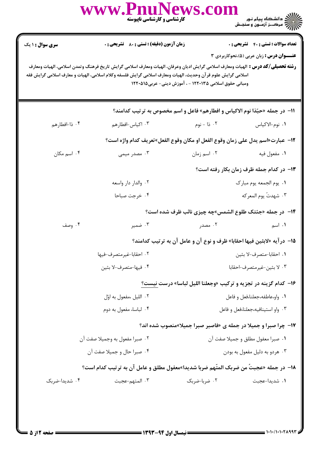|                        | www.PnuNews.c<br>کارشناسی و کارشناسی ناپیوسته                                                                                                                                                                                                            |                                                                                | ))))))) دانشگاه پیام نور<br>)))))) درک_ز آزمـون و سنجـش |
|------------------------|----------------------------------------------------------------------------------------------------------------------------------------------------------------------------------------------------------------------------------------------------------|--------------------------------------------------------------------------------|---------------------------------------------------------|
| <b>سری سوال : ۱ یک</b> | <b>زمان آزمون (دقیقه) : تستی : 80 ٪ تشریحی : 0</b>                                                                                                                                                                                                       |                                                                                | <b>تعداد سوالات : تستی : 40 قشریحی : 0</b>              |
|                        | <b>رشته تحصیلی/کد درس :</b> الهیات ومعارف اسلامی گرایش ادیان وعرفان، الهیات ومعارف اسلامی گرایش تاریخ فرهنگ وتمدن اسلامی، الهیات ومعارف<br>اسلامی گرایش علوم قر آن وحدیث، الهیات ومعارف اسلامی گرایش فلسفه وکلام اسلامی، الهیات و معارف اسلامی گرایش فقه | ومبانی حقوق اسلامی ۱۲۲۰۱۳۵ - ، آموزش دینی- عربی۱۲۲۰۵۱۵                         | <b>عنـــوان درس :</b> زبان عربی (۵)،نحوکاربردی ۳        |
|                        |                                                                                                                                                                                                                                                          | 11- در جمله «حبّذا نوم الاكياس و افطارهم» فاعل و اسم مخصوص به ترتيب كدامند؟    |                                                         |
| ۰۴ ذا-افطارهم          | ۰۳ اکیاس-افطارهم                                                                                                                                                                                                                                         | ۰۲ ذا - نوم                                                                    | ٠١ نوم-الاكياس                                          |
|                        |                                                                                                                                                                                                                                                          | 1۲−  عبارت«اسم يدل على زمان وقوع الفعل او مكان وقوع الفعل»تعريف كدام واژه است؟ |                                                         |
| ۰۴ اسم مکان            | ۰۳ مصدر میمی                                                                                                                                                                                                                                             | ۰۲ اسم زمان                                                                    | ۰۱ مفعول فيه                                            |
|                        |                                                                                                                                                                                                                                                          |                                                                                | ۱۳- در کدام جمله ظرف زمان بکار رفته است؟                |
|                        | ۰۲ والدار دار واسعه                                                                                                                                                                                                                                      |                                                                                | ٠١. يوم الجمعه يوم مبارك                                |
|                        | ۰۴ خرجت صباحا                                                                                                                                                                                                                                            |                                                                                | ٢. شهدتُ يوم المعركه                                    |
|                        |                                                                                                                                                                                                                                                          | ۱۴- در جمله «جئتک طلوع الشمس»چه چیزی نائب ظرف شده است؟                         |                                                         |
| ۰۴ وصف                 | ۰۳ ضمیر                                                                                                                                                                                                                                                  | ۰۲ مصدر                                                                        | ٠١. اسم                                                 |
|                        |                                                                                                                                                                                                                                                          | ۱۵− درآیه «لابثین فیها احقابا» ظرف و نوع آن و عامل آن به ترتیب کدامند؟         |                                                         |
|                        | ٢. احقابا-غيرمتصرف-فيها                                                                                                                                                                                                                                  |                                                                                | ٠١. احقابا-متصرف-لا بثين                                |
| ۰۴ فيها-متصرف-لا بثين  |                                                                                                                                                                                                                                                          |                                                                                | ۰۳ لا بثين-غيرمتصرف-احقابا                              |
|                        |                                                                                                                                                                                                                                                          | ۱۶- کدام گزینه در تجزیه و ترکیب «وجعلنا اللیل لباسا» درست نیست؟                |                                                         |
|                        | ۰۲ الليل ،مفعول به اوّل                                                                                                                                                                                                                                  |                                                                                | ٠١. واو،عاطفه،جعلنا،فعل وفاعل                           |
|                        | ۰۴ لباسا، مفعول به دوم                                                                                                                                                                                                                                   |                                                                                | ۰۳ واو استينافيه،جعلنا،فعل و فاعل                       |
|                        |                                                                                                                                                                                                                                                          | <b>۱۷- چرا صبرا و جمیلا در جمله ی «فاصبر صبرا جمیلا»منصوب شده اند؟</b>         |                                                         |
|                        | ۰۲ صبرا مفعول به وجميلا صفت آن                                                                                                                                                                                                                           |                                                                                | ٠١ صبرا معفول مطلق و جميلا صفت آن                       |
|                        | ۰۴ صبرا حال و جميلا صفت آن                                                                                                                                                                                                                               |                                                                                | ۰۳ هردو به دليل مفعول به بودن                           |
|                        | 18- در جمله «عجبتّ من ضربک المتّهم ضربا شديدا»معفول مطلق و عامل آن به ترتيب کدام است؟                                                                                                                                                                    |                                                                                |                                                         |
| ۰۴ شدیدا-ضربک          | ۰۳ المتهم-عجبت                                                                                                                                                                                                                                           | ۰۲ ضربا-ضربک                                                                   | ٠١ شديدا-عجبت                                           |
|                        |                                                                                                                                                                                                                                                          |                                                                                |                                                         |
|                        |                                                                                                                                                                                                                                                          |                                                                                |                                                         |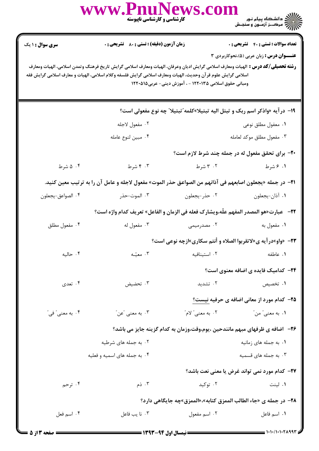|                                                                                                                                                                                                                                                                                                                                                                       | کارشناسی و کارشناسی ناپیوسته                                                | www.PnuNews.co                                     |                        |  |
|-----------------------------------------------------------------------------------------------------------------------------------------------------------------------------------------------------------------------------------------------------------------------------------------------------------------------------------------------------------------------|-----------------------------------------------------------------------------|----------------------------------------------------|------------------------|--|
| <b>تعداد سوالات : تستي : 40 قشريحي : 0</b>                                                                                                                                                                                                                                                                                                                            |                                                                             | <b>زمان آزمون (دقیقه) : تستی : 80 ٪ تشریحی : 0</b> | <b>سری سوال : ۱ یک</b> |  |
| <b>عنـــوان درس :</b> زبان عربی (۵)،نحوکاربردی ۳<br><b>رشته تحصیلی/گد درس :</b> الهیات ومعارف اسلامی گرایش ادیان وعرفان، الهیات ومعارف اسلامی گرایش تاریخ فرهنگ وتمدن اسلامی، الهیات ومعارف<br>اسلامی گرایش علوم قرآن وحدیث، الهیات ومعارف اسلامی گرایش فلسفه وکلام اسلامی، الهیات و معارف اسلامی گرایش فقه<br>ومبانی حقوق اسلامی ۱۲۲۰۱۳۵ - ، آموزش دینی- عربی۱۲۲۰۵۱۵ |                                                                             |                                                    |                        |  |
| ۱۹- درآیه «واذکر اسم ربک و تبتل الیه تبتیلا»کلمه"تبتیلا" چه نوع مفعولی است؟                                                                                                                                                                                                                                                                                           |                                                                             |                                                    |                        |  |
| ٠١. معفول مطلق نوعي                                                                                                                                                                                                                                                                                                                                                   |                                                                             | ٠٢ مفعول لاجله                                     |                        |  |
| ۰۳ مفعول مطلق موكد لعامله                                                                                                                                                                                                                                                                                                                                             |                                                                             | ۰۴ مبين لنوع عامله                                 |                        |  |
| ۲۰- برای تحقق مفعول له در جمله چند شرط لازم است؟                                                                                                                                                                                                                                                                                                                      |                                                                             |                                                    |                        |  |
| ۰۱ ۶ شرط                                                                                                                                                                                                                                                                                                                                                              | ۰۲ شرط                                                                      | ۰۳ شرط                                             | ۰۴ شرط                 |  |
| ـ T1− در جمله «يجعلون اصابعهم في آذانهم من الصواعق حذر الموت» مفعول لاجله و عامل آن را به ترتيب معين كنيد.                                                                                                                                                                                                                                                            |                                                                             |                                                    |                        |  |
| ٠١ أذان-يجعلون                                                                                                                                                                                                                                                                                                                                                        | ٠٢ حذر-يجعلون                                                               | ۰۳ الموت-حذر                                       | ۰۴ الصواعق-يجعلون      |  |
| 7٢-   عبارت«هو المصدر المفهم علَّه،ويشارك فعله في الزمان و الفاعل» تعريف كدام واژه است؟                                                                                                                                                                                                                                                                               |                                                                             |                                                    |                        |  |
| ١. مفعول به                                                                                                                                                                                                                                                                                                                                                           | ۰۲ مصدرمیمی                                                                 | ۰۳ مفعول له                                        | ۰۴ مفعول مطلق          |  |
| <b>۲۳</b> - «واو»درآیه ی«لاتقربوا الصلاه و أنتم سکاری»ازچه نوعی است؟                                                                                                                                                                                                                                                                                                  |                                                                             |                                                    |                        |  |
| ۰۱ عاطفه                                                                                                                                                                                                                                                                                                                                                              | ۰۲ استينافيه                                                                | ۰۳ معیّـه                                          | ۰۴ حاليه               |  |
| <b>۲۴</b> - کدامیک فایده ی اضافه معنوی است؟                                                                                                                                                                                                                                                                                                                           |                                                                             |                                                    |                        |  |
| ۰۱ تخصیص                                                                                                                                                                                                                                                                                                                                                              | ۰۲ تشدید                                                                    | ۰۳ تحضیض                                           | ۰۴ تعدی                |  |
| ۲۵- کدام مورد از معانی اضافه ی حرفیه نیست؟                                                                                                                                                                                                                                                                                                                            |                                                                             |                                                    |                        |  |
| <b>۱</b> . به معنى ً من ً                                                                                                                                                                                                                                                                                                                                             | ۲. به معنى" لام"                                                            | ۰۳ به معنى "عن"                                    | ۰۴ به معنی ً فی ً      |  |
|                                                                                                                                                                                                                                                                                                                                                                       | ۲۶– اضافه ی ظرفهای مبهم مانندحین ،یوم،وقت،وزمان به کدام گزینه جایز می باشد؟ |                                                    |                        |  |
| ۰۱ به جمله های زمانیه                                                                                                                                                                                                                                                                                                                                                 |                                                                             | ۰۲ به جمله های شرطیه                               |                        |  |
| ۰۳ به جمله های قسمیه                                                                                                                                                                                                                                                                                                                                                  |                                                                             | ۰۴ به جمله های اسمیه و فعلیه                       |                        |  |
| <b>۲۷- کدام مورد نمی تواند غرض یا معنی نعت باشد؟</b>                                                                                                                                                                                                                                                                                                                  |                                                                             |                                                    |                        |  |
| ۰۱ لینت                                                                                                                                                                                                                                                                                                                                                               | ۰۲ توکید                                                                    | ۰۳ ذم                                              | ۰۴ ترحم                |  |
|                                                                                                                                                                                                                                                                                                                                                                       | ۲۸− در جمله ی «جاء الطالب الممزق کتابه»،«الممزق»چه جایگاهی دارد؟            |                                                    |                        |  |
| ٠١. اسم فاعل                                                                                                                                                                                                                                                                                                                                                          | ۰۲ اسم مفعول                                                                | ۰۳ نا يب فاعل                                      | ۰۴ اسم فعل             |  |
|                                                                                                                                                                                                                                                                                                                                                                       |                                                                             |                                                    |                        |  |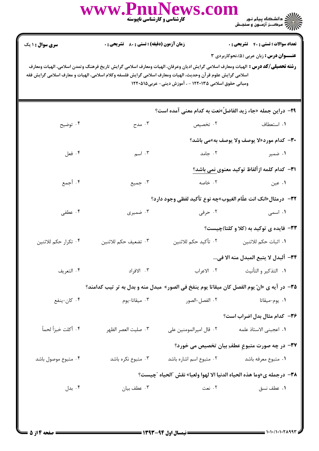|                                                                                                                                                                                                                                                                                                                                                                       | www.PnuNews.co                                     | <b>کارشناسی و کارشناسی ناپیوسته</b> |                                                                                            |  |
|-----------------------------------------------------------------------------------------------------------------------------------------------------------------------------------------------------------------------------------------------------------------------------------------------------------------------------------------------------------------------|----------------------------------------------------|-------------------------------------|--------------------------------------------------------------------------------------------|--|
| <b>سری سوال : ۱ یک</b>                                                                                                                                                                                                                                                                                                                                                | <b>زمان آزمون (دقیقه) : تستی : 80 ٪ تشریحی : 0</b> |                                     | <b>تعداد سوالات : تستی : 40 قشریحی : 0</b>                                                 |  |
| <b>عنـــوان درس :</b> زبان عربی (۵)،نحوکاربردی ۳<br><b>رشته تحصیلی/کد درس :</b> الهیات ومعارف اسلامی گرایش ادیان وعرفان، الهیات ومعارف اسلامی گرایش تاریخ فرهنگ وتمدن اسلامی، الهیات ومعارف<br>اسلامی گرایش علوم قرآن وحدیث، الهیات ومعارف اسلامی گرایش فلسفه وکلام اسلامی، الهیات و معارف اسلامی گرایش فقه<br>ومبانی حقوق اسلامی ۱۲۲۰۱۳۵ - ، آموزش دینی- عربی۱۲۲۰۵۱۵ |                                                    |                                     |                                                                                            |  |
|                                                                                                                                                                                                                                                                                                                                                                       |                                                    |                                     | ٢٩- دراين جمله «جاء زيد الفاضلٌ»نعت به كدام معنى آمده است؟                                 |  |
| ۰۴ توضيح                                                                                                                                                                                                                                                                                                                                                              | ۰۳ مدح                                             | ۰۲ تخصیص                            | ۰۱ استعطاف                                                                                 |  |
|                                                                                                                                                                                                                                                                                                                                                                       | <b>۳۰- كدام مورد«لا يوصف ولا يوصف به»می باشد؟</b>  |                                     |                                                                                            |  |
| ۰۴ فعل                                                                                                                                                                                                                                                                                                                                                                | ۰۳ اسم                                             | ۰۲ جامد                             | ۱. ضمیر                                                                                    |  |
|                                                                                                                                                                                                                                                                                                                                                                       |                                                    |                                     | <b>٣١</b> – كدام كلمه ازألفاظ توكيد معنوى نمى باشد؟                                        |  |
| ۰۴ أجمع                                                                                                                                                                                                                                                                                                                                                               | ۰۳ جمیع                                            | ۰۲ خاصه                             | ۰۱ عین                                                                                     |  |
|                                                                                                                                                                                                                                                                                                                                                                       |                                                    |                                     | ٣٢-  درمثال«انک انت علّام الغيوب»چه نوع تأکيد لفظي وجود دارد؟                              |  |
| ۰۴ عطفی                                                                                                                                                                                                                                                                                                                                                               | ۰۳ ضمیری                                           | ۰۲ حرفی                             | ۰۱ اسمی                                                                                    |  |
|                                                                                                                                                                                                                                                                                                                                                                       |                                                    |                                     | <b>۳۳</b> - فایده ی توکید به (کلا و کلتا)چیست؟                                             |  |
| ۰۴ تكرار حكم للاثنين                                                                                                                                                                                                                                                                                                                                                  | ۰۳ تضعيف حكم للاثنين                               |                                     |                                                                                            |  |
|                                                                                                                                                                                                                                                                                                                                                                       |                                                    |                                     | ٣۴– ألبدل لا يتبع المبدل منه الا في                                                        |  |
| ۰۴ التعريف                                                                                                                                                                                                                                                                                                                                                            | ۰۳ الافراد                                         | ٢. الاعراب                          | ٠١. التذكير و التأنيث                                                                      |  |
|                                                                                                                                                                                                                                                                                                                                                                       |                                                    |                                     | ۳۵− در آيه ي «انّ يوم الفصل كان ميقاتا يوم ينفخ في الصور» مبدل منه و بدل به تر تيب كدامند؟ |  |
| ۰۴ کان-ينفع                                                                                                                                                                                                                                                                                                                                                           | ۰۳ میقاتا-یوم                                      | ٠٢ الفصل-الصور                      | ۰۱ يوم-ميقاتا                                                                              |  |
|                                                                                                                                                                                                                                                                                                                                                                       |                                                    |                                     | ۳۶– کدام مثال بدل اضراب است؟                                                               |  |
| ۴. أكلت خبزاً لحماً                                                                                                                                                                                                                                                                                                                                                   | ٠٣ صليت العصر الظهر                                | ٠٢ قال اميرالمومنين على             | ٠١. اعجبنى الاستاذ علمه                                                                    |  |
|                                                                                                                                                                                                                                                                                                                                                                       |                                                    |                                     | 37- در چه صورت متبوعِ عطفِ بيان تخصيص مي خورد؟                                             |  |
| ۰۴ متبوع موصول باشد                                                                                                                                                                                                                                                                                                                                                   | ۰۳ متبوع نکره باشد                                 | ۰۲ متبوع اسم اشاره باشد             | ٠١ متبوع معرفه باشد                                                                        |  |
|                                                                                                                                                                                                                                                                                                                                                                       |                                                    |                                     | ٣٨- درجمله ي«وما هذه الحياه الدنيا الا لهوا ولعبا» نقش ″الحياه ″چيست؟                      |  |
| ۰۴ بدل $\mathfrak{h}$                                                                                                                                                                                                                                                                                                                                                 | ۰۳ عطف بیان                                        | ۰۲ نعت                              | ٠١ عطف نسق                                                                                 |  |
|                                                                                                                                                                                                                                                                                                                                                                       |                                                    |                                     |                                                                                            |  |